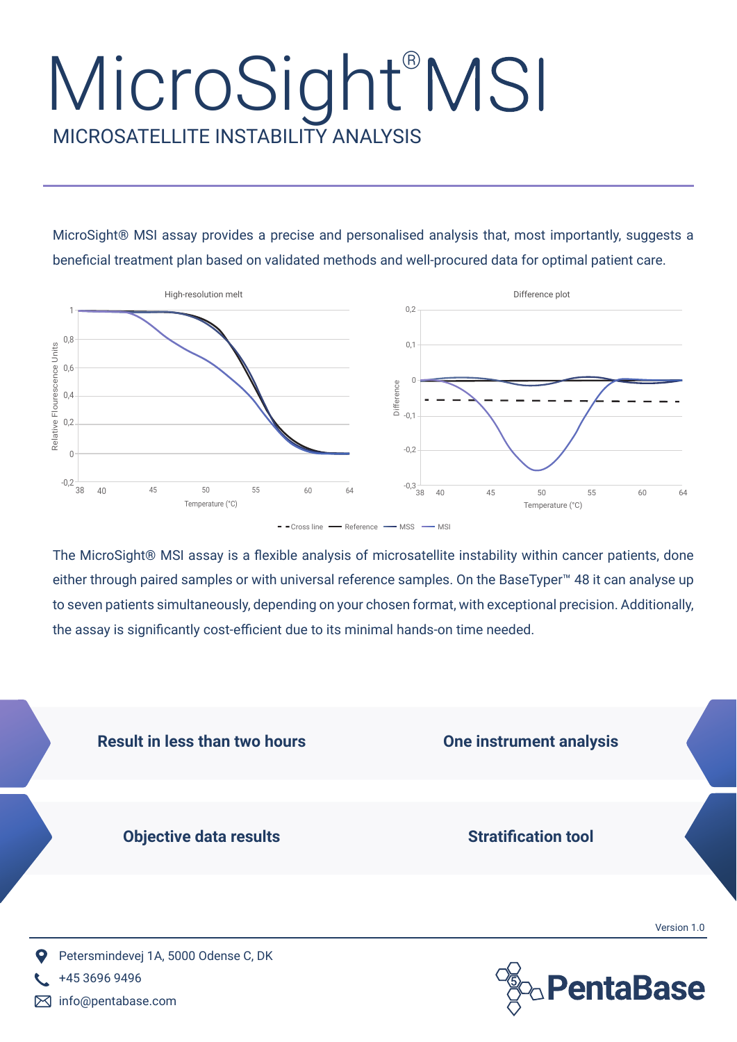## MICROSATELLITE INSTABILITY ANALYSIS MicroSight®MSI

MicroSight® MSI assay provides a precise and personalised analysis that, most importantly, suggests a beneficial treatment plan based on validated methods and well-procured data for optimal patient care.



The MicroSight® MSI assay is a flexible analysis of microsatellite instability within cancer patients, done either through paired samples or with universal reference samples. On the BaseTyper<sup>™</sup> 48 it can analyse up to seven patients simultaneously, depending on your chosen format, with exceptional precision. Additionally, the assay is significantly cost-efficient due to its minimal hands-on time needed.



M info@pentabase.com